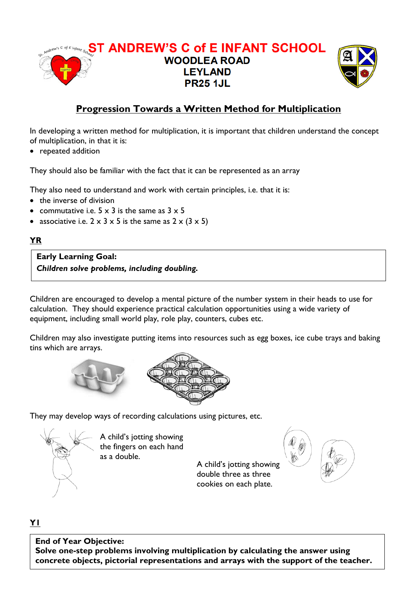



## **Progression Towards a Written Method for Multiplication**

In developing a written method for multiplication, it is important that children understand the concept of multiplication, in that it is:

• repeated addition

They should also be familiar with the fact that it can be represented as an array

They also need to understand and work with certain principles, i.e. that it is:

- the inverse of division
- commutative i.e.  $5 \times 3$  is the same as  $3 \times 5$
- associative i.e.  $2 \times 3 \times 5$  is the same as  $2 \times (3 \times 5)$

## **YR**

**Early Learning Goal:** *Children solve problems, including doubling.*

Children are encouraged to develop a mental picture of the number system in their heads to use for calculation. They should experience practical calculation opportunities using a wide variety of equipment, including small world play, role play, counters, cubes etc.

Children may also investigate putting items into resources such as egg boxes, ice cube trays and baking tins which are arrays.





They may develop ways of recording calculations using pictures, etc.



A child's jotting showing the fingers on each hand as a double.

A child's jotting showing double three as three cookies on each plate.



## **Y1**

**End of Year Objective: Solve one-step problems involving multiplication by calculating the answer using concrete objects, pictorial representations and arrays with the support of the teacher.**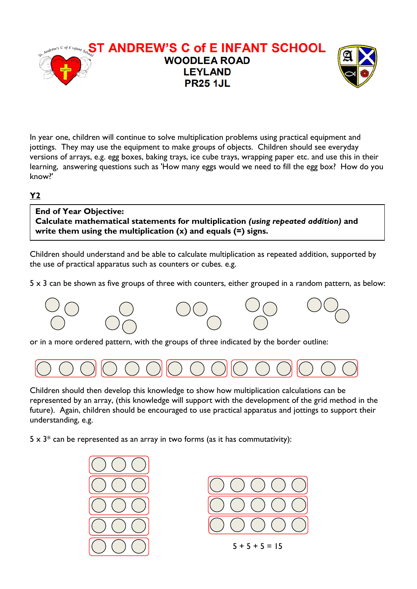

In year one, children will continue to solve multiplication problems using practical equipment and jottings. They may use the equipment to make groups of objects. Children should see everyday versions of arrays, e.g. egg boxes, baking trays, ice cube trays, wrapping paper etc. and use this in their learning, answering questions such as 'How many eggs would we need to fill the egg box? How do you know?'

## **Y2**

**End of Year Objective: Calculate mathematical statements for multiplication** *(using repeated addition)* **and write them using the multiplication (x) and equals (=) signs.**

Children should understand and be able to calculate multiplication as repeated addition, supported by the use of practical apparatus such as counters or cubes. e.g.

 $5 \times 3$  can be shown as five groups of three with counters, either grouped in a random pattern, as below:



or in a more ordered pattern, with the groups of three indicated by the border outline:



Children should then develop this knowledge to show how multiplication calculations can be represented by an array, (this knowledge will support with the development of the grid method in the future). Again, children should be encouraged to use practical apparatus and jottings to support their understanding, e.g.

 $5 \times 3^*$  can be represented as an array in two forms (as it has commutativity):